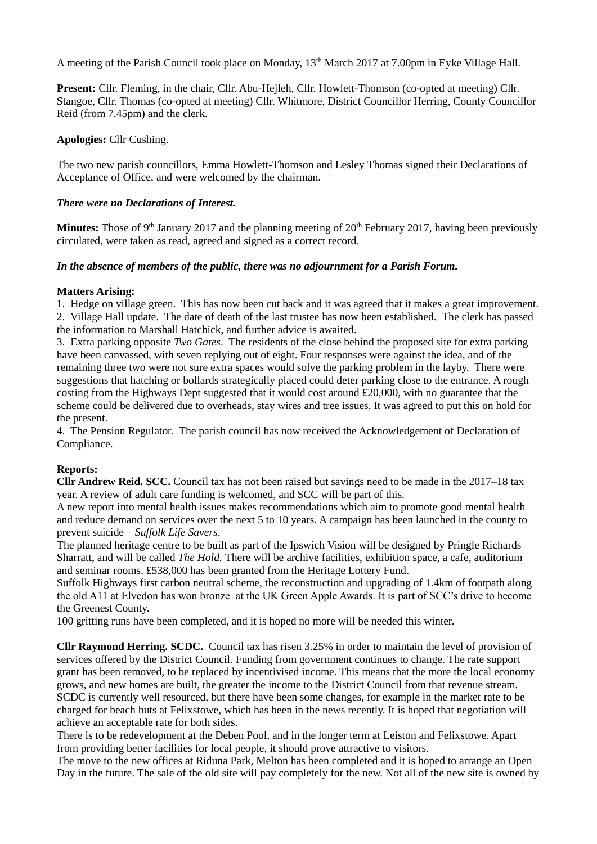A meeting of the Parish Council took place on Monday, 13<sup>th</sup> March 2017 at 7.00pm in Eyke Village Hall.

**Present:** Cllr. Fleming, in the chair, Cllr. Abu-Hejleh, Cllr. Howlett-Thomson (co-opted at meeting) Cllr. Stangoe, Cllr. Thomas (co-opted at meeting) Cllr. Whitmore, District Councillor Herring, County Councillor Reid (from 7.45pm) and the clerk.

### **Apologies:** Cllr Cushing.

The two new parish councillors, Emma Howlett-Thomson and Lesley Thomas signed their Declarations of Acceptance of Office, and were welcomed by the chairman.

# *There were no Declarations of Interest.*

**Minutes:** Those of 9<sup>th</sup> January 2017 and the planning meeting of 20<sup>th</sup> February 2017, having been previously circulated, were taken as read, agreed and signed as a correct record.

# *In the absence of members of the public, there was no adjournment for a Parish Forum.*

# **Matters Arising:**

1. Hedge on village green. This has now been cut back and it was agreed that it makes a great improvement. 2. Village Hall update. The date of death of the last trustee has now been established. The clerk has passed the information to Marshall Hatchick, and further advice is awaited.

3. Extra parking opposite *Two Gates*. The residents of the close behind the proposed site for extra parking have been canvassed, with seven replying out of eight. Four responses were against the idea, and of the remaining three two were not sure extra spaces would solve the parking problem in the layby. There were suggestions that hatching or bollards strategically placed could deter parking close to the entrance. A rough costing from the Highways Dept suggested that it would cost around £20,000, with no guarantee that the scheme could be delivered due to overheads, stay wires and tree issues. It was agreed to put this on hold for the present.

4. The Pension Regulator. The parish council has now received the Acknowledgement of Declaration of Compliance.

#### **Reports:**

**Cllr Andrew Reid. SCC.** Council tax has not been raised but savings need to be made in the 2017–18 tax year. A review of adult care funding is welcomed, and SCC will be part of this.

A new report into mental health issues makes recommendations which aim to promote good mental health and reduce demand on services over the next 5 to 10 years. A campaign has been launched in the county to prevent suicide – *Suffolk Life Savers*.

The planned heritage centre to be built as part of the Ipswich Vision will be designed by Pringle Richards Sharratt, and will be called *The Hold.* There will be archive facilities, exhibition space, a cafe, auditorium and seminar rooms. £538,000 has been granted from the Heritage Lottery Fund.

Suffolk Highways first carbon neutral scheme, the reconstruction and upgrading of 1.4km of footpath along the old A11 at Elvedon has won bronze at the UK Green Apple Awards. It is part of SCC's drive to become the Greenest County.

100 gritting runs have been completed, and it is hoped no more will be needed this winter.

**Cllr Raymond Herring. SCDC.** Council tax has risen 3.25% in order to maintain the level of provision of services offered by the District Council. Funding from government continues to change. The rate support grant has been removed, to be replaced by incentivised income. This means that the more the local economy grows, and new homes are built, the greater the income to the District Council from that revenue stream. SCDC is currently well resourced, but there have been some changes, for example in the market rate to be charged for beach huts at Felixstowe, which has been in the news recently. It is hoped that negotiation will achieve an acceptable rate for both sides.

There is to be redevelopment at the Deben Pool, and in the longer term at Leiston and Felixstowe. Apart from providing better facilities for local people, it should prove attractive to visitors.

The move to the new offices at Riduna Park, Melton has been completed and it is hoped to arrange an Open Day in the future. The sale of the old site will pay completely for the new. Not all of the new site is owned by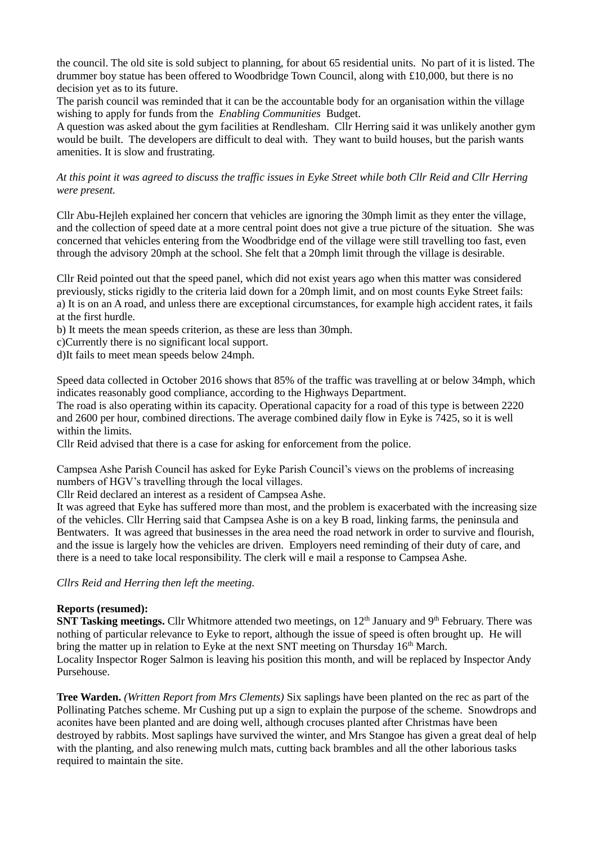the council. The old site is sold subject to planning, for about 65 residential units. No part of it is listed. The drummer boy statue has been offered to Woodbridge Town Council, along with £10,000, but there is no decision yet as to its future.

The parish council was reminded that it can be the accountable body for an organisation within the village wishing to apply for funds from the *Enabling Communities* Budget.

A question was asked about the gym facilities at Rendlesham. Cllr Herring said it was unlikely another gym would be built. The developers are difficult to deal with. They want to build houses, but the parish wants amenities. It is slow and frustrating.

*At this point it was agreed to discuss the traffic issues in Eyke Street while both Cllr Reid and Cllr Herring were present.*

Cllr Abu-Hejleh explained her concern that vehicles are ignoring the 30mph limit as they enter the village, and the collection of speed date at a more central point does not give a true picture of the situation. She was concerned that vehicles entering from the Woodbridge end of the village were still travelling too fast, even through the advisory 20mph at the school. She felt that a 20mph limit through the village is desirable.

Cllr Reid pointed out that the speed panel, which did not exist years ago when this matter was considered previously, sticks rigidly to the criteria laid down for a 20mph limit, and on most counts Eyke Street fails: a) It is on an A road, and unless there are exceptional circumstances, for example high accident rates, it fails at the first hurdle.

b) It meets the mean speeds criterion, as these are less than 30mph.

c)Currently there is no significant local support.

d)It fails to meet mean speeds below 24mph.

Speed data collected in October 2016 shows that 85% of the traffic was travelling at or below 34mph, which indicates reasonably good compliance, according to the Highways Department.

The road is also operating within its capacity. Operational capacity for a road of this type is between 2220 and 2600 per hour, combined directions. The average combined daily flow in Eyke is 7425, so it is well within the limits.

Cllr Reid advised that there is a case for asking for enforcement from the police.

Campsea Ashe Parish Council has asked for Eyke Parish Council's views on the problems of increasing numbers of HGV's travelling through the local villages.

Cllr Reid declared an interest as a resident of Campsea Ashe.

It was agreed that Eyke has suffered more than most, and the problem is exacerbated with the increasing size of the vehicles. Cllr Herring said that Campsea Ashe is on a key B road, linking farms, the peninsula and Bentwaters. It was agreed that businesses in the area need the road network in order to survive and flourish, and the issue is largely how the vehicles are driven. Employers need reminding of their duty of care, and there is a need to take local responsibility. The clerk will e mail a response to Campsea Ashe.

*Cllrs Reid and Herring then left the meeting.*

#### **Reports (resumed):**

**SNT Tasking meetings.** Cllr Whitmore attended two meetings, on 12<sup>th</sup> January and 9<sup>th</sup> February. There was nothing of particular relevance to Eyke to report, although the issue of speed is often brought up. He will bring the matter up in relation to Eyke at the next SNT meeting on Thursday 16<sup>th</sup> March. Locality Inspector Roger Salmon is leaving his position this month, and will be replaced by Inspector Andy Pursehouse.

**Tree Warden.** *(Written Report from Mrs Clements)* Six saplings have been planted on the rec as part of the Pollinating Patches scheme. Mr Cushing put up a sign to explain the purpose of the scheme. Snowdrops and aconites have been planted and are doing well, although crocuses planted after Christmas have been destroyed by rabbits. Most saplings have survived the winter, and Mrs Stangoe has given a great deal of help with the planting, and also renewing mulch mats, cutting back brambles and all the other laborious tasks required to maintain the site.